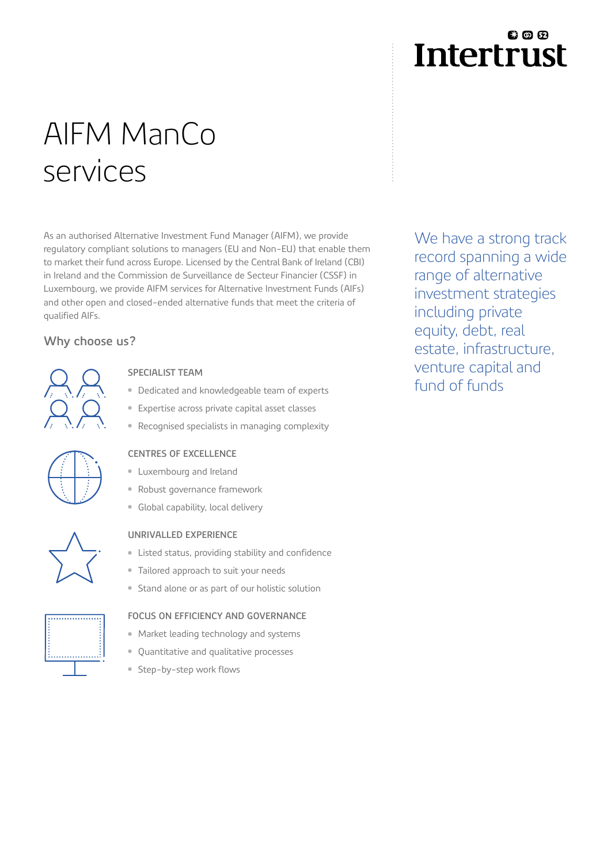## **800 Intertrust**

# AIFM ManCo services

As an authorised Alternative Investment Fund Manager (AIFM), we provide regulatory compliant solutions to managers (EU and Non-EU) that enable them to market their fund across Europe. Licensed by the Central Bank of Ireland (CBI) in Ireland and the Commission de Surveillance de Secteur Financier (CSSF) in Luxembourg, we provide AIFM services for Alternative Investment Funds (AIFs) and other open and closed-ended alternative funds that meet the criteria of qualified AIFs.

### **Why choose us?**



#### **SPECIALIST TEAM**

- Dedicated and knowledgeable team of experts
- Expertise across private capital asset classes
- Recognised specialists in managing complexity



#### **CENTRES OF EXCELLENCE**

- Luxembourg and Ireland
- Robust governance framework
- Global capability, local delivery

#### **UNRIVALLED EXPERIENCE**

- Listed status, providing stability and confidence
- Tailored approach to suit your needs
- Stand alone or as part of our holistic solution

#### **FOCUS ON EFFICIENCY AND GOVERNANCE**

- Market leading technology and systems
- Quantitative and qualitative processes
- Step-by-step work flows

We have a strong track record spanning a wide range of alternative investment strategies including private equity, debt, real estate, infrastructure, venture capital and fund of funds